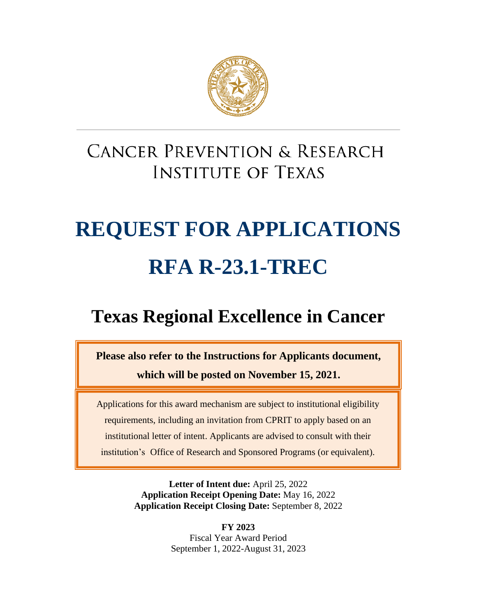

# **CANCER PREVENTION & RESEARCH INSTITUTE OF TEXAS**

# **REQUEST FOR APPLICATIONS RFA R-23.1-TREC**

# **Texas Regional Excellence in Cancer**

**Please also refer to the Instructions for Applicants document,** 

**which will be posted on November 15, 2021.**

Applications for this award mechanism are subject to institutional eligibility requirements, including an invitation from CPRIT to apply based on an institutional letter of intent. Applicants are advised to consult with their institution's Office of Research and Sponsored Programs (or equivalent).

> **Letter of Intent due:** April 25, 2022 **Application Receipt Opening Date:** May 16, 2022 **Application Receipt Closing Date:** September 8, 2022

> > **FY 2023** Fiscal Year Award Period September 1, 2022-August 31, 2023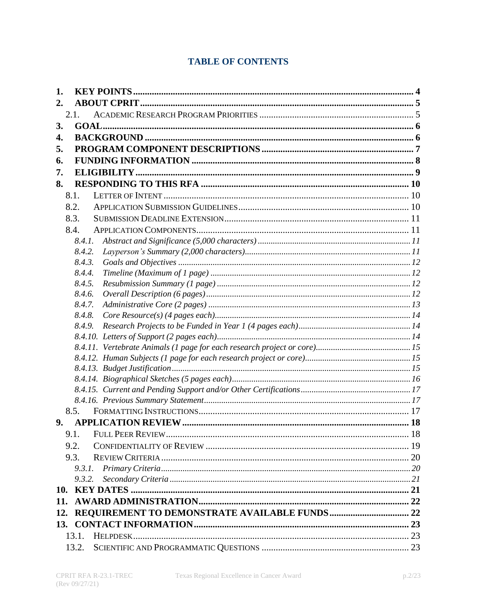# **TABLE OF CONTENTS**

| 1.    |                                                   |  |  |
|-------|---------------------------------------------------|--|--|
| 2.    |                                                   |  |  |
| 2.1.  |                                                   |  |  |
| 3.    |                                                   |  |  |
| 4.    |                                                   |  |  |
| 5.    |                                                   |  |  |
| 6.    |                                                   |  |  |
| 7.    |                                                   |  |  |
| 8.    |                                                   |  |  |
|       | 8.1.                                              |  |  |
|       | 8.2.                                              |  |  |
|       | 8.3.                                              |  |  |
|       | 8.4.                                              |  |  |
|       | 8.4.1.                                            |  |  |
|       | 8.4.2.                                            |  |  |
|       | 8.4.3.                                            |  |  |
|       | 8.4.4.                                            |  |  |
|       | 8.4.5.                                            |  |  |
|       | 8.4.6.                                            |  |  |
|       | 8.4.7.                                            |  |  |
|       | 8.4.8.                                            |  |  |
|       | 8.4.9.                                            |  |  |
|       |                                                   |  |  |
|       |                                                   |  |  |
|       |                                                   |  |  |
|       |                                                   |  |  |
|       |                                                   |  |  |
|       |                                                   |  |  |
|       | 8.5.                                              |  |  |
| 9.    |                                                   |  |  |
|       | 9.1. FULL PEER REVIEW.<br>. 18                    |  |  |
|       |                                                   |  |  |
|       | 9.2.                                              |  |  |
|       | 9.3.                                              |  |  |
|       | 9.3.2.                                            |  |  |
|       |                                                   |  |  |
| 11.   |                                                   |  |  |
|       |                                                   |  |  |
|       | 12. REQUIREMENT TO DEMONSTRATE AVAILABLE FUNDS 22 |  |  |
| 13.1. |                                                   |  |  |
|       |                                                   |  |  |
|       | 13.2.                                             |  |  |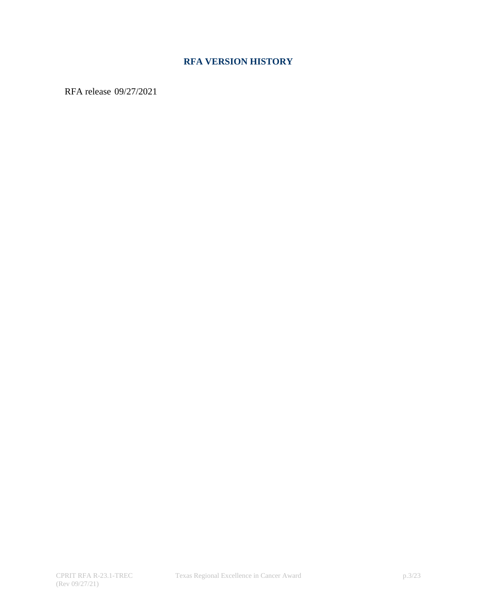# **RFA VERSION HISTORY**

RFA release 09/27/2021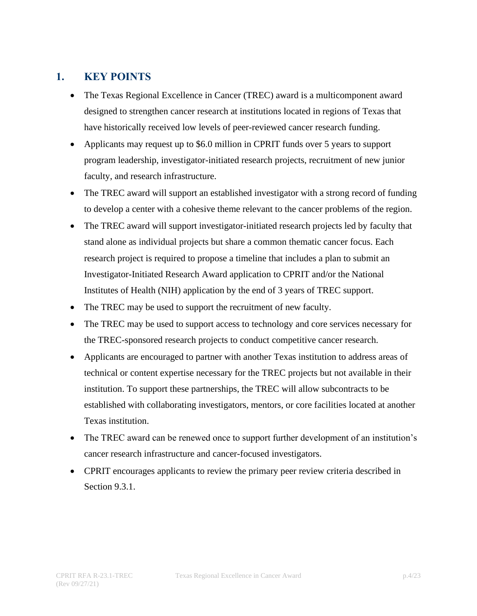# <span id="page-3-0"></span>**1. KEY POINTS**

- The Texas Regional Excellence in Cancer (TREC) award is a multicomponent award designed to strengthen cancer research at institutions located in regions of Texas that have historically received low levels of peer-reviewed cancer research funding.
- Applicants may request up to \$6.0 million in CPRIT funds over 5 years to support program leadership, investigator-initiated research projects, recruitment of new junior faculty, and research infrastructure.
- The TREC award will support an established investigator with a strong record of funding to develop a center with a cohesive theme relevant to the cancer problems of the region.
- The TREC award will support investigator-initiated research projects led by faculty that stand alone as individual projects but share a common thematic cancer focus. Each research project is required to propose a timeline that includes a plan to submit an Investigator-Initiated Research Award application to CPRIT and/or the National Institutes of Health (NIH) application by the end of 3 years of TREC support.
- The TREC may be used to support the recruitment of new faculty.
- The TREC may be used to support access to technology and core services necessary for the TREC-sponsored research projects to conduct competitive cancer research.
- Applicants are encouraged to partner with another Texas institution to address areas of technical or content expertise necessary for the TREC projects but not available in their institution. To support these partnerships, the TREC will allow subcontracts to be established with collaborating investigators, mentors, or core facilities located at another Texas institution.
- The TREC award can be renewed once to support further development of an institution's cancer research infrastructure and cancer-focused investigators.
- CPRIT encourages applicants to review the primary peer review criteria described in Section 9.3.1.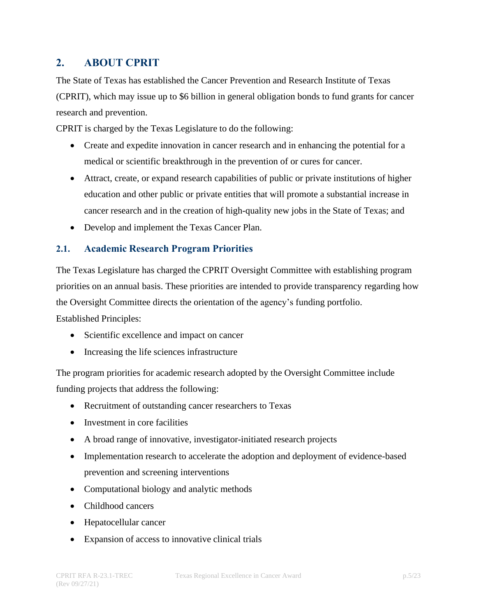# <span id="page-4-0"></span>**2. ABOUT CPRIT**

The State of Texas has established the Cancer Prevention and Research Institute of Texas (CPRIT), which may issue up to \$6 billion in general obligation bonds to fund grants for cancer research and prevention.

CPRIT is charged by the Texas Legislature to do the following:

- Create and expedite innovation in cancer research and in enhancing the potential for a medical or scientific breakthrough in the prevention of or cures for cancer.
- Attract, create, or expand research capabilities of public or private institutions of higher education and other public or private entities that will promote a substantial increase in cancer research and in the creation of high-quality new jobs in the State of Texas; and
- Develop and implement the Texas Cancer Plan.

# <span id="page-4-1"></span>**2.1. Academic Research Program Priorities**

The Texas Legislature has charged the CPRIT Oversight Committee with establishing program priorities on an annual basis. These priorities are intended to provide transparency regarding how the Oversight Committee directs the orientation of the agency's funding portfolio. Established Principles:

- Scientific excellence and impact on cancer
- Increasing the life sciences infrastructure

The program priorities for academic research adopted by the Oversight Committee include funding projects that address the following:

- Recruitment of outstanding cancer researchers to Texas
- Investment in core facilities
- A broad range of innovative, investigator-initiated research projects
- Implementation research to accelerate the adoption and deployment of evidence-based prevention and screening interventions
- Computational biology and analytic methods
- Childhood cancers
- Hepatocellular cancer
- Expansion of access to innovative clinical trials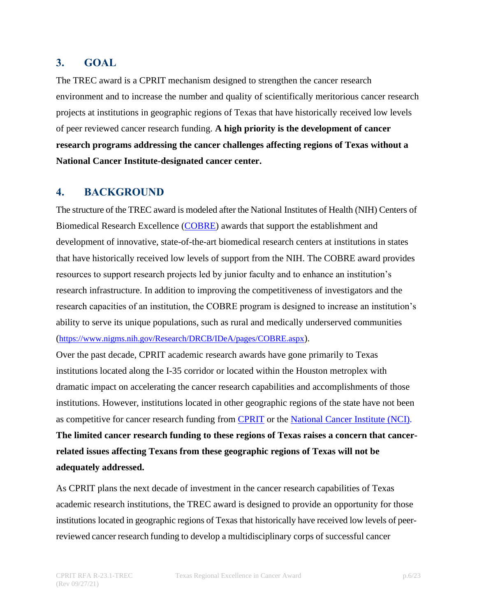# <span id="page-5-0"></span>**3. GOAL**

The TREC award is a CPRIT mechanism designed to strengthen the cancer research environment and to increase the number and quality of scientifically meritorious cancer research projects at institutions in geographic regions of Texas that have historically received low levels of peer reviewed cancer research funding. **A high priority is the development of cancer research programs addressing the cancer challenges affecting regions of Texas without a National Cancer Institute-designated cancer center.**

# <span id="page-5-1"></span>**4. BACKGROUND**

The structure of the TREC award is modeled after the National Institutes of Health (NIH) Centers of Biomedical Research Excellence [\(COBRE\)](https://www.nigms.nih.gov/Research/DRCB/IDeA/pages/COBRE.aspx) awards that support the establishment and development of innovative, state-of-the-art biomedical research centers at institutions in states that have historically received low levels of support from the NIH. The COBRE award provides resources to support research projects led by junior faculty and to enhance an institution's research infrastructure. In addition to improving the competitiveness of investigators and the research capacities of an institution, the COBRE program is designed to increase an institution's ability to serve its unique populations, such as rural and medically underserved communities (<https://www.nigms.nih.gov/Research/DRCB/IDeA/pages/COBRE.aspx>).

Over the past decade, CPRIT academic research awards have gone primarily to Texas institutions located along the I-35 corridor or located within the Houston metroplex with dramatic impact on accelerating the cancer research capabilities and accomplishments of those institutions. However, institutions located in other geographic regions of the state have not been as competitive for cancer research funding from **CPRIT** or the [National](https://www.nih.gov/grants-funding) Cancer Institute (NCI). **The limited cancer research funding to these regions of Texas raises a concern that cancerrelated issues affecting Texans from these geographic regions of Texas will not be adequately addressed.**

As CPRIT plans the next decade of investment in the cancer research capabilities of Texas academic research institutions, the TREC award is designed to provide an opportunity for those institutions located in geographic regions of Texas that historically have received low levels of peerreviewed cancer research funding to develop a multidisciplinary corps of successful cancer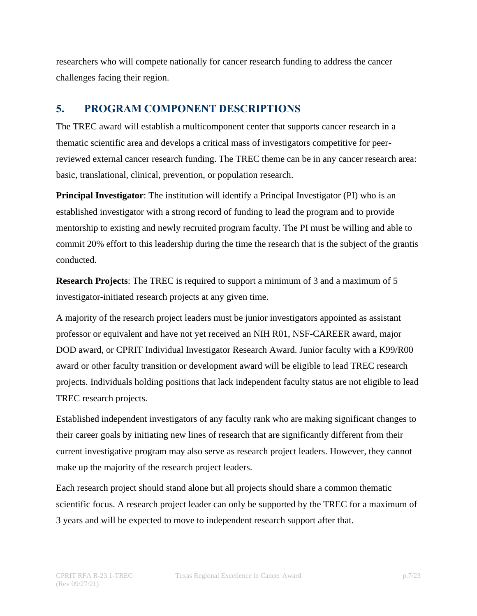researchers who will compete nationally for cancer research funding to address the cancer challenges facing their region.

# <span id="page-6-0"></span>**5. PROGRAM COMPONENT DESCRIPTIONS**

The TREC award will establish a multicomponent center that supports cancer research in a thematic scientific area and develops a critical mass of investigators competitive for peerreviewed external cancer research funding. The TREC theme can be in any cancer research area: basic, translational, clinical, prevention, or population research.

**Principal Investigator**: The institution will identify a Principal Investigator (PI) who is an established investigator with a strong record of funding to lead the program and to provide mentorship to existing and newly recruited program faculty. The PI must be willing and able to commit 20% effort to this leadership during the time the research that is the subject of the grantis conducted.

**Research Projects**: The TREC is required to support a minimum of 3 and a maximum of 5 investigator-initiated research projects at any given time.

A majority of the research project leaders must be junior investigators appointed as assistant professor or equivalent and have not yet received an NIH R01, NSF-CAREER award, major DOD award, or CPRIT Individual Investigator Research Award. Junior faculty with a K99/R00 award or other faculty transition or development award will be eligible to lead TREC research projects. Individuals holding positions that lack independent faculty status are not eligible to lead TREC research projects.

Established independent investigators of any faculty rank who are making significant changes to their career goals by initiating new lines of research that are significantly different from their current investigative program may also serve as research project leaders. However, they cannot make up the majority of the research project leaders.

Each research project should stand alone but all projects should share a common thematic scientific focus. A research project leader can only be supported by the TREC for a maximum of 3 years and will be expected to move to independent research support after that.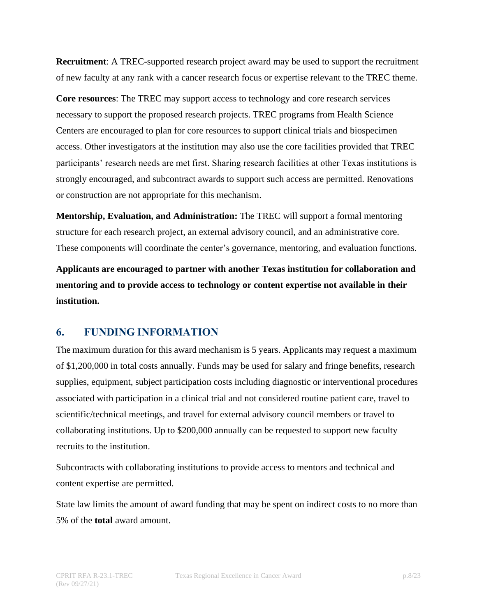**Recruitment**: A TREC-supported research project award may be used to support the recruitment of new faculty at any rank with a cancer research focus or expertise relevant to the TREC theme.

**Core resources**: The TREC may support access to technology and core research services necessary to support the proposed research projects. TREC programs from Health Science Centers are encouraged to plan for core resources to support clinical trials and biospecimen access. Other investigators at the institution may also use the core facilities provided that TREC participants' research needs are met first. Sharing research facilities at other Texas institutions is strongly encouraged, and subcontract awards to support such access are permitted. Renovations or construction are not appropriate for this mechanism.

**Mentorship, Evaluation, and Administration:** The TREC will support a formal mentoring structure for each research project, an external advisory council, and an administrative core. These components will coordinate the center's governance, mentoring, and evaluation functions.

**Applicants are encouraged to partner with another Texas institution for collaboration and mentoring and to provide access to technology or content expertise not available in their institution.**

#### <span id="page-7-0"></span>**6. FUNDING INFORMATION**

The maximum duration for this award mechanism is 5 years. Applicants may request a maximum of \$1,200,000 in total costs annually. Funds may be used for salary and fringe benefits, research supplies, equipment, subject participation costs including diagnostic or interventional procedures associated with participation in a clinical trial and not considered routine patient care, travel to scientific/technical meetings, and travel for external advisory council members or travel to collaborating institutions. Up to \$200,000 annually can be requested to support new faculty recruits to the institution.

Subcontracts with collaborating institutions to provide access to mentors and technical and content expertise are permitted.

State law limits the amount of award funding that may be spent on indirect costs to no more than 5% of the **total** award amount.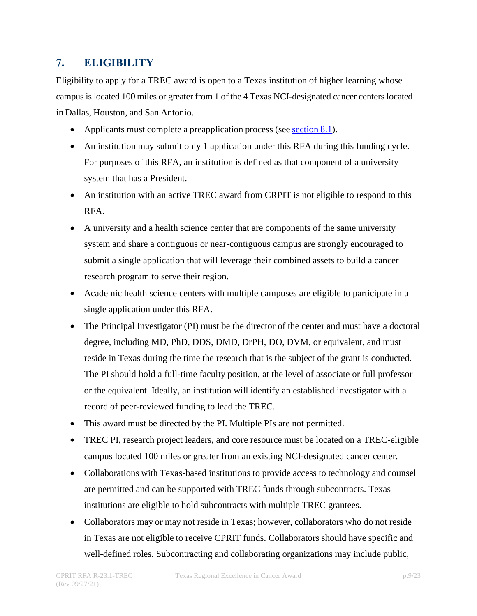# <span id="page-8-0"></span>**7. ELIGIBILITY**

Eligibility to apply for a TREC award is open to a Texas institution of higher learning whose campus is located 100 miles or greater from 1 of the 4 Texas NCI-designated cancer centers located in Dallas, Houston, and San Antonio.

- Applicants must complete a preapplication process (see [section](#page-9-1) 8.1).
- An institution may submit only 1 application under this RFA during this funding cycle. For purposes of this RFA, an institution is defined as that component of a university system that has a President.
- An institution with an active TREC award from CRPIT is not eligible to respond to this RFA.
- A university and a health science center that are components of the same university system and share a contiguous or near-contiguous campus are strongly encouraged to submit a single application that will leverage their combined assets to build a cancer research program to serve their region.
- Academic health science centers with multiple campuses are eligible to participate in a single application under this RFA.
- The Principal Investigator (PI) must be the director of the center and must have a doctoral degree, including MD, PhD, DDS, DMD, DrPH, DO, DVM, or equivalent, and must reside in Texas during the time the research that is the subject of the grant is conducted. The PI should hold a full-time faculty position, at the level of associate or full professor or the equivalent. Ideally, an institution will identify an established investigator with a record of peer-reviewed funding to lead the TREC.
- This award must be directed by the PI. Multiple PIs are not permitted.
- TREC PI, research project leaders, and core resource must be located on a TREC-eligible campus located 100 miles or greater from an existing NCI-designated cancer center.
- Collaborations with Texas-based institutions to provide access to technology and counsel are permitted and can be supported with TREC funds through subcontracts. Texas institutions are eligible to hold subcontracts with multiple TREC grantees.
- Collaborators may or may not reside in Texas; however, collaborators who do not reside in Texas are not eligible to receive CPRIT funds. Collaborators should have specific and well-defined roles. Subcontracting and collaborating organizations may include public,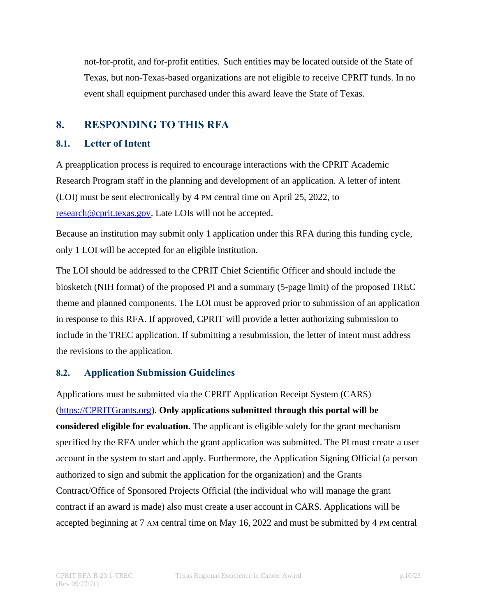not-for-profit, and for-profit entities. Such entities may be located outside of the State of Texas, but non-Texas-based organizations are not eligible to receive CPRIT funds. In no event shall equipment purchased under this award leave the State of Texas.

# <span id="page-9-0"></span>**8. RESPONDING TO THIS RFA**

#### <span id="page-9-1"></span>**8.1. Letter of Intent**

A preapplication process is required to encourage interactions with the CPRIT Academic Research Program staff in the planning and development of an application. A letter of intent (LOI) must be sent electronically by 4 PM central time on April 25, 2022, to [research@cprit.texas.gov.](mailto:research@cprit.texas.gov) Late LOIs will not be accepted.

Because an institution may submit only 1 application under this RFA during this funding cycle, only 1 LOI will be accepted for an eligible institution.

The LOI should be addressed to the CPRIT Chief Scientific Officer and should include the biosketch (NIH format) of the proposed PI and a summary (5-page limit) of the proposed TREC theme and planned components. The LOI must be approved prior to submission of an application in response to this RFA. If approved, CPRIT will provide a letter authorizing submission to include in the TREC application. If submitting a resubmission, the letter of intent must address the revisions to the application.

# <span id="page-9-2"></span>**8.2. Application Submission Guidelines**

Applications must be submitted via the CPRIT Application Receipt System (CARS) [\(https://CPRITGrants.org\)](https://cpritgrants.org/). **Only applications submitted through this portal will be considered eligible for evaluation.** The applicant is eligible solely for the grant mechanism specified by the RFA under which the grant application was submitted. The PI must create a user account in the system to start and apply. Furthermore, the Application Signing Official (a person authorized to sign and submit the application for the organization) and the Grants Contract/Office of Sponsored Projects Official (the individual who will manage the grant contract if an award is made) also must create a user account in CARS. Applications will be accepted beginning at 7 AM central time on May 16, 2022 and must be submitted by 4 PM central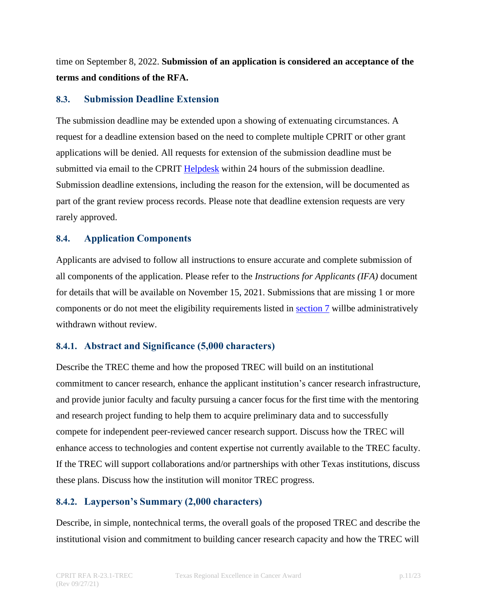time on September 8, 2022. **Submission of an application is considered an acceptance of the terms and conditions of the RFA.**

#### <span id="page-10-0"></span>**8.3. Submission Deadline Extension**

The submission deadline may be extended upon a showing of extenuating circumstances. A request for a deadline extension based on the need to complete multiple CPRIT or other grant applications will be denied. All requests for extension of the submission deadline must be submitted via email to the CPRIT [Helpdesk](#page-22-1) within 24 hours of the submission deadline. Submission deadline extensions, including the reason for the extension, will be documented as part of the grant review process records. Please note that deadline extension requests are very rarely approved.

#### <span id="page-10-1"></span>**8.4. Application Components**

Applicants are advised to follow all instructions to ensure accurate and complete submission of all components of the application. Please refer to the *Instructions for Applicants (IFA)* document for details that will be available on November 15, 2021. Submissions that are missing 1 or more components or do not meet the eligibility requirements listed in [section 7](#page-8-0) willbe administratively withdrawn without review.

#### <span id="page-10-2"></span>**8.4.1. Abstract and Significance (5,000 characters)**

Describe the TREC theme and how the proposed TREC will build on an institutional commitment to cancer research, enhance the applicant institution's cancer research infrastructure, and provide junior faculty and faculty pursuing a cancer focus for the first time with the mentoring and research project funding to help them to acquire preliminary data and to successfully compete for independent peer-reviewed cancer research support. Discuss how the TREC will enhance access to technologies and content expertise not currently available to the TREC faculty. If the TREC will support collaborations and/or partnerships with other Texas institutions, discuss these plans. Discuss how the institution will monitor TREC progress.

# <span id="page-10-3"></span>**8.4.2. Layperson's Summary (2,000 characters)**

Describe, in simple, nontechnical terms, the overall goals of the proposed TREC and describe the institutional vision and commitment to building cancer research capacity and how the TREC will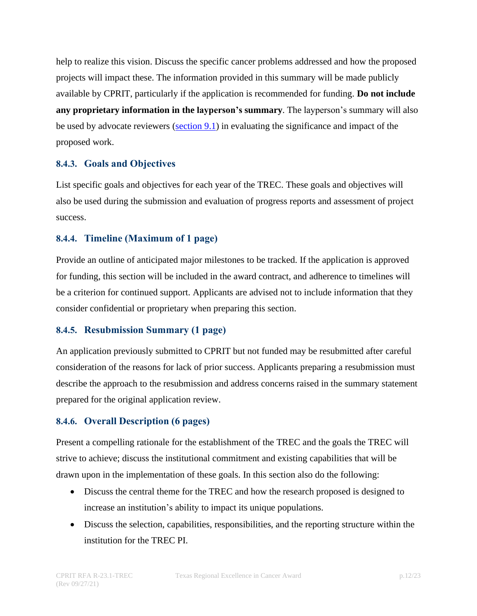help to realize this vision. Discuss the specific cancer problems addressed and how the proposed projects will impact these. The information provided in this summary will be made publicly available by CPRIT, particularly if the application is recommended for funding. **Do not include any proprietary information in the layperson's summary**. The layperson's summary will also be used by advocate reviewers [\(section](#page-17-1) 9.1) in evaluating the significance and impact of the proposed work.

#### <span id="page-11-0"></span>**8.4.3. Goals and Objectives**

List specific goals and objectives for each year of the TREC. These goals and objectives will also be used during the submission and evaluation of progress reports and assessment of project success.

#### <span id="page-11-1"></span>**8.4.4. Timeline (Maximum of 1 page)**

Provide an outline of anticipated major milestones to be tracked. If the application is approved for funding, this section will be included in the award contract, and adherence to timelines will be a criterion for continued support. Applicants are advised not to include information that they consider confidential or proprietary when preparing this section.

#### <span id="page-11-2"></span>**8.4.5. Resubmission Summary (1 page)**

An application previously submitted to CPRIT but not funded may be resubmitted after careful consideration of the reasons for lack of prior success. Applicants preparing a resubmission must describe the approach to the resubmission and address concerns raised in the summary statement prepared for the original application review.

# <span id="page-11-3"></span>**8.4.6. Overall Description (6 pages)**

Present a compelling rationale for the establishment of the TREC and the goals the TREC will strive to achieve; discuss the institutional commitment and existing capabilities that will be drawn upon in the implementation of these goals. In this section also do the following:

- Discuss the central theme for the TREC and how the research proposed is designed to increase an institution's ability to impact its unique populations.
- Discuss the selection, capabilities, responsibilities, and the reporting structure within the institution for the TREC PI.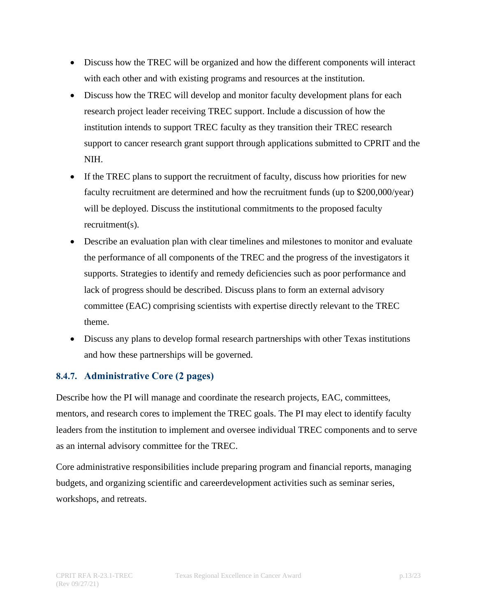- Discuss how the TREC will be organized and how the different components will interact with each other and with existing programs and resources at the institution.
- Discuss how the TREC will develop and monitor faculty development plans for each research project leader receiving TREC support. Include a discussion of how the institution intends to support TREC faculty as they transition their TREC research support to cancer research grant support through applications submitted to CPRIT and the NIH.
- If the TREC plans to support the recruitment of faculty, discuss how priorities for new faculty recruitment are determined and how the recruitment funds (up to \$200,000/year) will be deployed. Discuss the institutional commitments to the proposed faculty recruitment(s).
- Describe an evaluation plan with clear timelines and milestones to monitor and evaluate the performance of all components of the TREC and the progress of the investigators it supports. Strategies to identify and remedy deficiencies such as poor performance and lack of progress should be described. Discuss plans to form an external advisory committee (EAC) comprising scientists with expertise directly relevant to the TREC theme.
- Discuss any plans to develop formal research partnerships with other Texas institutions and how these partnerships will be governed.

# <span id="page-12-0"></span>**8.4.7. Administrative Core (2 pages)**

Describe how the PI will manage and coordinate the research projects, EAC, committees, mentors, and research cores to implement the TREC goals. The PI may elect to identify faculty leaders from the institution to implement and oversee individual TREC components and to serve as an internal advisory committee for the TREC.

Core administrative responsibilities include preparing program and financial reports, managing budgets, and organizing scientific and careerdevelopment activities such as seminar series, workshops, and retreats.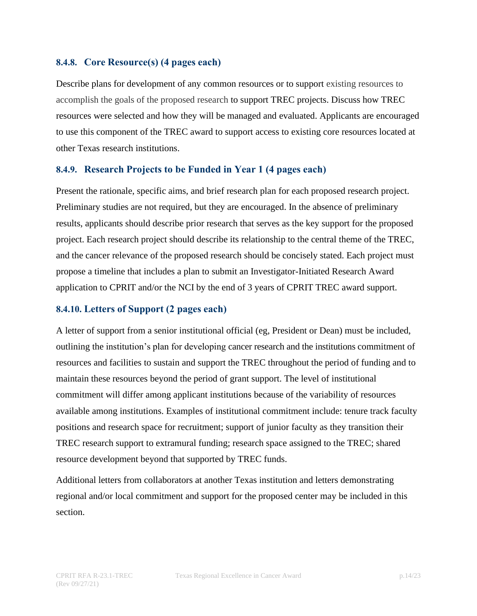#### <span id="page-13-0"></span>**8.4.8. Core Resource(s) (4 pages each)**

Describe plans for development of any common resources or to support existing resources to accomplish the goals of the proposed research to support TREC projects. Discuss how TREC resources were selected and how they will be managed and evaluated. Applicants are encouraged to use this component of the TREC award to support access to existing core resources located at other Texas research institutions.

#### <span id="page-13-1"></span>**8.4.9. Research Projects to be Funded in Year 1 (4 pages each)**

Present the rationale, specific aims, and brief research plan for each proposed research project. Preliminary studies are not required, but they are encouraged. In the absence of preliminary results, applicants should describe prior research that serves as the key support for the proposed project. Each research project should describe its relationship to the central theme of the TREC, and the cancer relevance of the proposed research should be concisely stated. Each project must propose a timeline that includes a plan to submit an Investigator-Initiated Research Award application to CPRIT and/or the NCI by the end of 3 years of CPRIT TREC award support.

#### <span id="page-13-2"></span>**8.4.10. Letters of Support (2 pages each)**

A letter of support from a senior institutional official (eg, President or Dean) must be included, outlining the institution's plan for developing cancer research and the institutions commitment of resources and facilities to sustain and support the TREC throughout the period of funding and to maintain these resources beyond the period of grant support. The level of institutional commitment will differ among applicant institutions because of the variability of resources available among institutions. Examples of institutional commitment include: tenure track faculty positions and research space for recruitment; support of junior faculty as they transition their TREC research support to extramural funding; research space assigned to the TREC; shared resource development beyond that supported by TREC funds.

Additional letters from collaborators at another Texas institution and letters demonstrating regional and/or local commitment and support for the proposed center may be included in this section.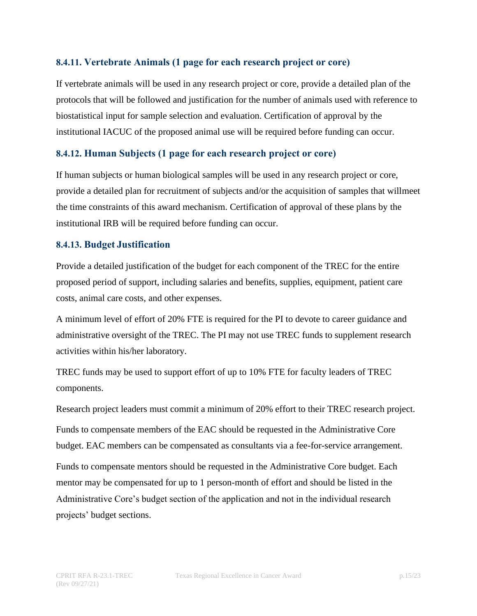#### <span id="page-14-0"></span>**8.4.11. Vertebrate Animals (1 page for each research project or core)**

If vertebrate animals will be used in any research project or core, provide a detailed plan of the protocols that will be followed and justification for the number of animals used with reference to biostatistical input for sample selection and evaluation. Certification of approval by the institutional IACUC of the proposed animal use will be required before funding can occur.

#### <span id="page-14-1"></span>**8.4.12. Human Subjects (1 page for each research project or core)**

If human subjects or human biological samples will be used in any research project or core, provide a detailed plan for recruitment of subjects and/or the acquisition of samples that willmeet the time constraints of this award mechanism. Certification of approval of these plans by the institutional IRB will be required before funding can occur.

#### <span id="page-14-2"></span>**8.4.13. Budget Justification**

Provide a detailed justification of the budget for each component of the TREC for the entire proposed period of support, including salaries and benefits, supplies, equipment, patient care costs, animal care costs, and other expenses.

A minimum level of effort of 20% FTE is required for the PI to devote to career guidance and administrative oversight of the TREC. The PI may not use TREC funds to supplement research activities within his/her laboratory.

TREC funds may be used to support effort of up to 10% FTE for faculty leaders of TREC components.

Research project leaders must commit a minimum of 20% effort to their TREC research project.

Funds to compensate members of the EAC should be requested in the Administrative Core budget. EAC members can be compensated as consultants via a fee-for-service arrangement.

Funds to compensate mentors should be requested in the Administrative Core budget. Each mentor may be compensated for up to 1 person-month of effort and should be listed in the Administrative Core's budget section of the application and not in the individual research projects' budget sections.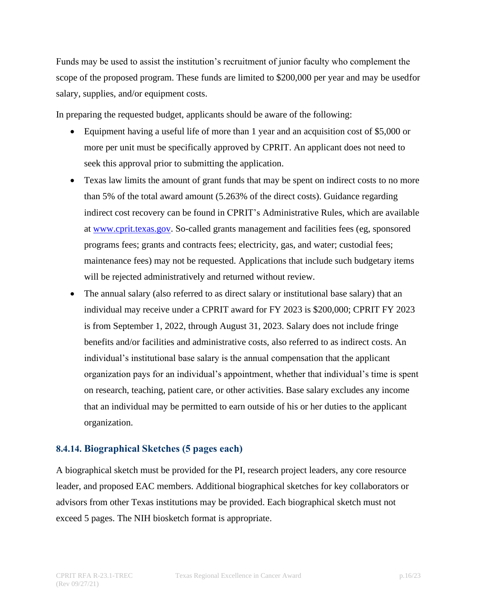Funds may be used to assist the institution's recruitment of junior faculty who complement the scope of the proposed program. These funds are limited to \$200,000 per year and may be usedfor salary, supplies, and/or equipment costs.

In preparing the requested budget, applicants should be aware of the following:

- Equipment having a useful life of more than 1 year and an acquisition cost of \$5,000 or more per unit must be specifically approved by CPRIT. An applicant does not need to seek this approval prior to submitting the application.
- Texas law limits the amount of grant funds that may be spent on indirect costs to no more than 5% of the total award amount (5.263% of the direct costs). Guidance regarding indirect cost recovery can be found in CPRIT's Administrative Rules, which are available at [www.cprit.texas.gov. S](http://www.cprit.texas.gov/)o-called grants management and facilities fees (eg, sponsored programs fees; grants and contracts fees; electricity, gas, and water; custodial fees; maintenance fees) may not be requested. Applications that include such budgetary items will be rejected administratively and returned without review.
- The annual salary (also referred to as direct salary or institutional base salary) that an individual may receive under a CPRIT award for FY 2023 is \$200,000; CPRIT FY 2023 is from September 1, 2022, through August 31, 2023. Salary does not include fringe benefits and/or facilities and administrative costs, also referred to as indirect costs. An individual's institutional base salary is the annual compensation that the applicant organization pays for an individual's appointment, whether that individual's time is spent on research, teaching, patient care, or other activities. Base salary excludes any income that an individual may be permitted to earn outside of his or her duties to the applicant organization.

# <span id="page-15-0"></span>**8.4.14. Biographical Sketches (5 pages each)**

A biographical sketch must be provided for the PI, research project leaders, any core resource leader, and proposed EAC members. Additional biographical sketches for key collaborators or advisors from other Texas institutions may be provided. Each biographical sketch must not exceed 5 pages. The NIH biosketch format is appropriate.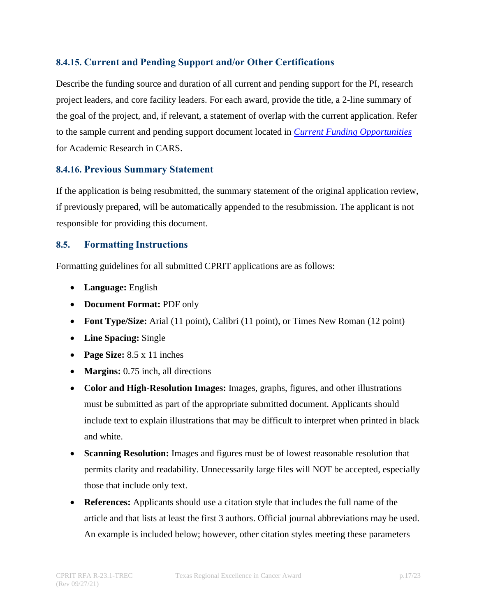# <span id="page-16-0"></span>**8.4.15. Current and Pending Support and/or Other Certifications**

Describe the funding source and duration of all current and pending support for the PI, research project leaders, and core facility leaders. For each award, provide the title, a 2-line summary of the goal of the project, and, if relevant, a statement of overlap with the current application. Refer to the sample current and pending support document located in *[Current Funding Opportunities](https://cpritgrants.org/Current_Funding_Opportunities/)* for Academic Research in CARS.

#### <span id="page-16-1"></span>**8.4.16. Previous Summary Statement**

If the application is being resubmitted, the summary statement of the original application review, if previously prepared, will be automatically appended to the resubmission. The applicant is not responsible for providing this document.

#### <span id="page-16-2"></span>**8.5. Formatting Instructions**

Formatting guidelines for all submitted CPRIT applications are as follows:

- **Language:** English
- **Document Format:** PDF only
- **Font Type/Size:** Arial (11 point), Calibri (11 point), or Times New Roman (12 point)
- **Line Spacing:** Single
- **Page Size:** 8.5 x 11 inches
- **Margins:** 0.75 inch, all directions
- **Color and High-Resolution Images:** Images, graphs, figures, and other illustrations must be submitted as part of the appropriate submitted document. Applicants should include text to explain illustrations that may be difficult to interpret when printed in black and white.
- **Scanning Resolution:** Images and figures must be of lowest reasonable resolution that permits clarity and readability. Unnecessarily large files will NOT be accepted, especially those that include only text.
- **References:** Applicants should use a citation style that includes the full name of the article and that lists at least the first 3 authors. Official journal abbreviations may be used. An example is included below; however, other citation styles meeting these parameters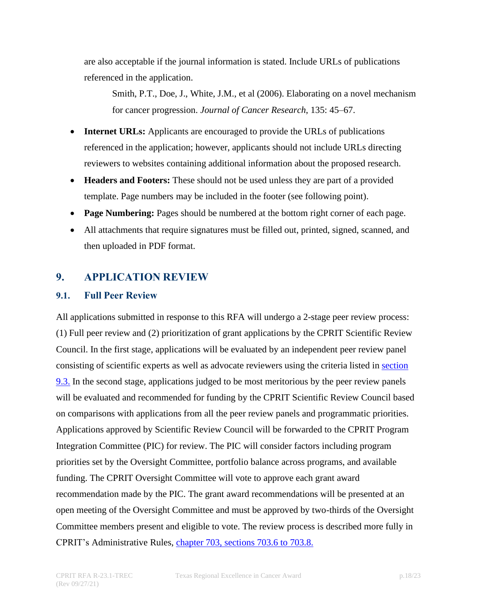are also acceptable if the journal information is stated. Include URLs of publications referenced in the application.

Smith, P.T., Doe, J., White, J.M., et al (2006). Elaborating on a novel mechanism for cancer progression. *Journal of Cancer Research*, 135: 45–67.

- **Internet URLs:** Applicants are encouraged to provide the URLs of publications referenced in the application; however, applicants should not include URLs directing reviewers to websites containing additional information about the proposed research.
- **Headers and Footers:** These should not be used unless they are part of a provided template. Page numbers may be included in the footer (see following point).
- **Page Numbering:** Pages should be numbered at the bottom right corner of each page.
- All attachments that require signatures must be filled out, printed, signed, scanned, and then uploaded in PDF format.

# <span id="page-17-0"></span>**9. APPLICATION REVIEW**

#### <span id="page-17-1"></span>**9.1. Full Peer Review**

All applications submitted in response to this RFA will undergo a 2-stage peer review process: (1) Full peer review and (2) prioritization of grant applications by the CPRIT Scientific Review Council. In the first stage, applications will be evaluated by an independent peer review panel consisting of scientific experts as well as advocate reviewers using the criteria listed in [section](#page-19-0) 9.3. In the second stage, applications judged to be most meritorious by the peer review panels will be evaluated and recommended for funding by the CPRIT Scientific Review Council based on comparisons with applications from all the peer review panels and programmatic priorities. Applications approved by Scientific Review Council will be forwarded to the CPRIT Program Integration Committee (PIC) for review. The PIC will consider factors including program priorities set by the Oversight Committee, portfolio balance across programs, and available funding. The CPRIT Oversight Committee will vote to approve each grant award recommendation made by the PIC. The grant award recommendations will be presented at an open meeting of the Oversight Committee and must be approved by two-thirds of the Oversight Committee members present and eligible to vote. The review process is described more fully in CPRIT's Administrative Rules, chapter [703, sections 703.6 to](https://texreg.sos.state.tx.us/public/readtac%24ext.ViewTAC?tac_view=4&ti=25&pt=11&ch=703&rl=Y) 703.8.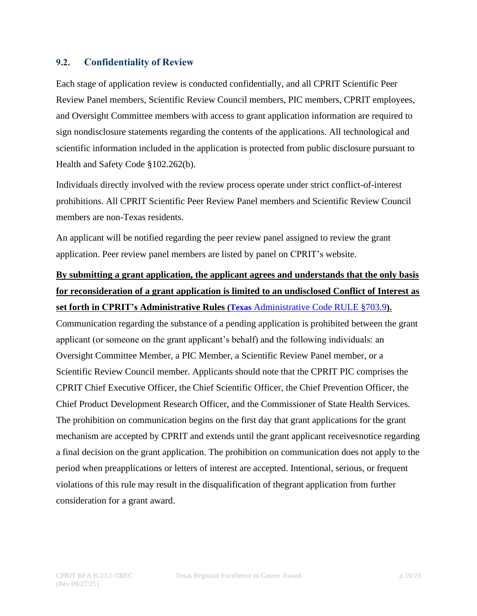#### <span id="page-18-0"></span>**9.2. Confidentiality of Review**

Each stage of application review is conducted confidentially, and all CPRIT Scientific Peer Review Panel members, Scientific Review Council members, PIC members, CPRIT employees, and Oversight Committee members with access to grant application information are required to sign nondisclosure statements regarding the contents of the applications. All technological and scientific information included in the application is protected from public disclosure pursuant to Health and Safety Code §102.262(b).

Individuals directly involved with the review process operate under strict conflict-of-interest prohibitions. All CPRIT Scientific Peer Review Panel members and Scientific Review Council members are non-Texas residents.

An applicant will be notified regarding the peer review panel assigned to review the grant application. Peer review panel members are listed by panel on CPRIT's website.

# **By submitting a grant application, the applicant agrees and understands that the only basis for reconsideration of a grant application is limited to an undisclosed Conflict of Interest as**

# **set forth in CPRIT's Administrative Rules (Texas** [Administrative Code RULE §703.9](https://texreg.sos.state.tx.us/public/readtac$ext.TacPage?sl=R&app=9&p_dir=&p_rloc=&p_tloc=&p_ploc=&pg=1&p_tac=&ti=25&pt=11&ch=703&rl=9)**).**

Communication regarding the substance of a pending application is prohibited between the grant applicant (or someone on the grant applicant's behalf) and the following individuals: an Oversight Committee Member, a PIC Member, a Scientific Review Panel member, or a Scientific Review Council member. Applicants should note that the CPRIT PIC comprises the CPRIT Chief Executive Officer, the Chief Scientific Officer, the Chief Prevention Officer, the Chief Product Development Research Officer, and the Commissioner of State Health Services. The prohibition on communication begins on the first day that grant applications for the grant mechanism are accepted by CPRIT and extends until the grant applicant receivesnotice regarding a final decision on the grant application. The prohibition on communication does not apply to the period when preapplications or letters of interest are accepted. Intentional, serious, or frequent violations of this rule may result in the disqualification of thegrant application from further consideration for a grant award.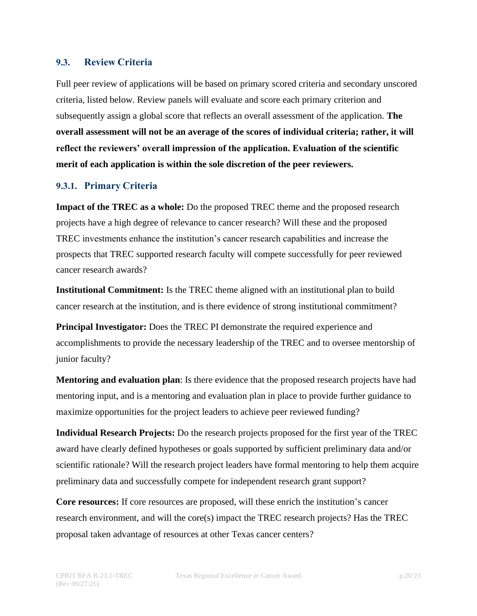#### <span id="page-19-0"></span>**9.3. Review Criteria**

Full peer review of applications will be based on primary scored criteria and secondary unscored criteria, listed below. Review panels will evaluate and score each primary criterion and subsequently assign a global score that reflects an overall assessment of the application. **The overall assessment will not be an average of the scores of individual criteria; rather, it will reflect the reviewers' overall impression of the application. Evaluation of the scientific merit of each application is within the sole discretion of the peer reviewers.**

#### <span id="page-19-1"></span>**9.3.1. Primary Criteria**

**Impact of the TREC as a whole:** Do the proposed TREC theme and the proposed research projects have a high degree of relevance to cancer research? Will these and the proposed TREC investments enhance the institution's cancer research capabilities and increase the prospects that TREC supported research faculty will compete successfully for peer reviewed cancer research awards?

**Institutional Commitment:** Is the TREC theme aligned with an institutional plan to build cancer research at the institution, and is there evidence of strong institutional commitment?

**Principal Investigator:** Does the TREC PI demonstrate the required experience and accomplishments to provide the necessary leadership of the TREC and to oversee mentorship of junior faculty?

**Mentoring and evaluation plan**: Is there evidence that the proposed research projects have had mentoring input, and is a mentoring and evaluation plan in place to provide further guidance to maximize opportunities for the project leaders to achieve peer reviewed funding?

**Individual Research Projects:** Do the research projects proposed for the first year of the TREC award have clearly defined hypotheses or goals supported by sufficient preliminary data and/or scientific rationale? Will the research project leaders have formal mentoring to help them acquire preliminary data and successfully compete for independent research grant support?

**Core resources:** If core resources are proposed, will these enrich the institution's cancer research environment, and will the core(s) impact the TREC research projects? Has the TREC proposal taken advantage of resources at other Texas cancer centers?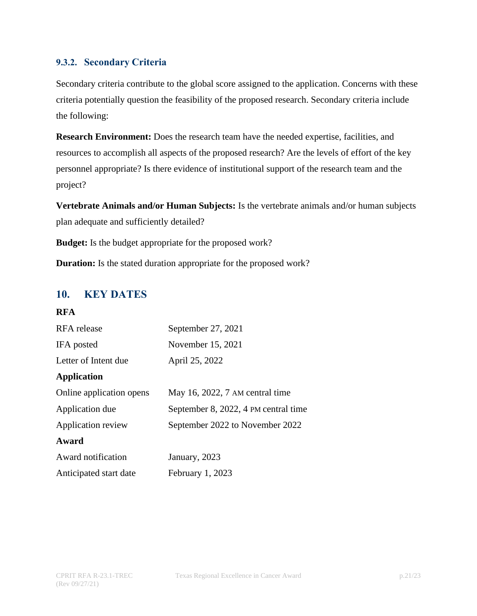#### <span id="page-20-0"></span>**9.3.2. Secondary Criteria**

Secondary criteria contribute to the global score assigned to the application. Concerns with these criteria potentially question the feasibility of the proposed research. Secondary criteria include the following:

**Research Environment:** Does the research team have the needed expertise, facilities, and resources to accomplish all aspects of the proposed research? Are the levels of effort of the key personnel appropriate? Is there evidence of institutional support of the research team and the project?

**Vertebrate Animals and/or Human Subjects:** Is the vertebrate animals and/or human subjects plan adequate and sufficiently detailed?

**Budget:** Is the budget appropriate for the proposed work?

**Duration:** Is the stated duration appropriate for the proposed work?

# <span id="page-20-1"></span>**10. KEY DATES**

#### **RFA**

| RFA release              | September 27, 2021                   |  |  |
|--------------------------|--------------------------------------|--|--|
| IFA posted               | November 15, 2021                    |  |  |
| Letter of Intent due     | April 25, 2022                       |  |  |
| <b>Application</b>       |                                      |  |  |
| Online application opens | May 16, 2022, 7 AM central time      |  |  |
| Application due          | September 8, 2022, 4 PM central time |  |  |
| Application review       | September 2022 to November 2022      |  |  |
| Award                    |                                      |  |  |
| Award notification       | January, 2023                        |  |  |
| Anticipated start date   | February 1, 2023                     |  |  |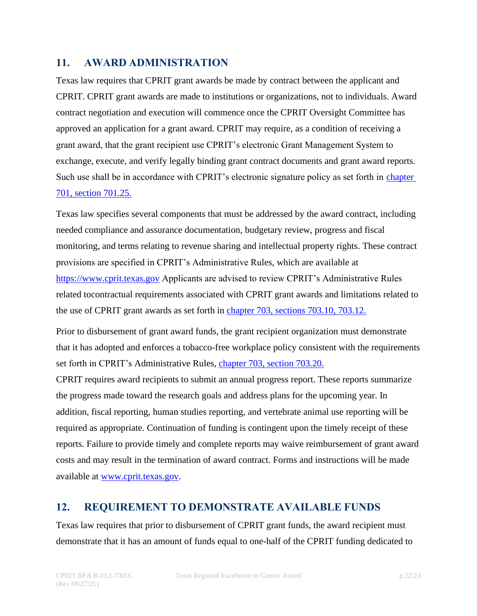# <span id="page-21-0"></span>**11. AWARD ADMINISTRATION**

Texas law requires that CPRIT grant awards be made by contract between the applicant and CPRIT. CPRIT grant awards are made to institutions or organizations, not to individuals. Award contract negotiation and execution will commence once the CPRIT Oversight Committee has approved an application for a grant award. CPRIT may require, as a condition of receiving a grant award, that the grant recipient use CPRIT's electronic Grant Management System to exchange, execute, and verify legally binding grant contract documents and grant award reports. Such use shall be in accordance with CPRIT's electronic signature policy as set forth in [chapter](https://texreg.sos.state.tx.us/public/readtac$ext.TacPage?sl=R&app=9&p_dir=&p_rloc=&p_tloc=&p_ploc=&pg=1&p_tac=&ti=25&pt=11&ch=703&rl=25) [701, section 701.25.](https://texreg.sos.state.tx.us/public/readtac$ext.TacPage?sl=R&app=9&p_dir=&p_rloc=&p_tloc=&p_ploc=&pg=1&p_tac=&ti=25&pt=11&ch=703&rl=25)

Texas law specifies several components that must be addressed by the award contract, including needed compliance and assurance documentation, budgetary review, progress and fiscal monitoring, and terms relating to revenue sharing and intellectual property rights. These contract provisions are specified in CPRIT's Administrative Rules, which are available at [https://www.cprit.texas.gov](https://www.cprit.texas.gov/) Applicants are advised to review CPRIT's Administrative Rules related tocontractual requirements associated with CPRIT grant awards and limitations related to the use of CPRIT grant awards as set forth in chapter 703, [sections 703.10, 703.12.](https://texreg.sos.state.tx.us/public/readtac%24ext.ViewTAC?tac_view=4&ti=25&pt=11&ch=703&rl=Y)

Prior to disbursement of grant award funds, the grant recipient organization must demonstrate that it has adopted and enforces a tobacco-free workplace policy consistent with the requirements set forth in CPRIT's Administrative Rules, chapter [703, section 703.20.](https://texreg.sos.state.tx.us/public/readtac$ext.TacPage?sl=R&app=9&p_dir=&p_rloc=&p_tloc=&p_ploc=&pg=1&p_tac=&ti=25&pt=11&ch=703&rl=20)

CPRIT requires award recipients to submit an annual progress report. These reports summarize the progress made toward the research goals and address plans for the upcoming year. In addition, fiscal reporting, human studies reporting, and vertebrate animal use reporting will be required as appropriate. Continuation of funding is contingent upon the timely receipt of these reports. Failure to provide timely and complete reports may waive reimbursement of grant award costs and may result in the termination of award contract. Forms and instructions will be made available at [www.cprit.texas.gov.](http://www.cprit.texas.gov/)

# <span id="page-21-1"></span>**12. REQUIREMENT TO DEMONSTRATE AVAILABLE FUNDS**

Texas law requires that prior to disbursement of CPRIT grant funds, the award recipient must demonstrate that it has an amount of funds equal to one-half of the CPRIT funding dedicated to